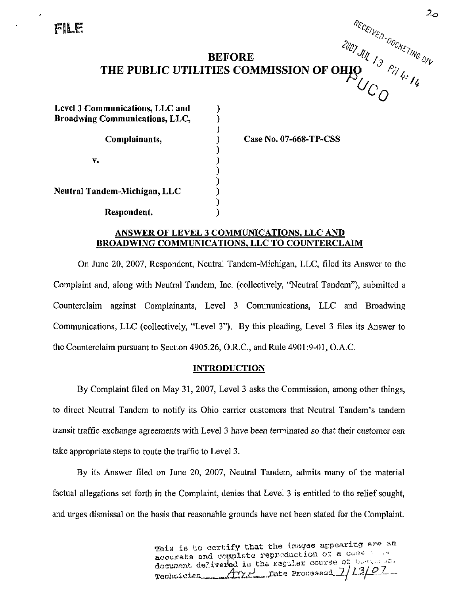FILE

# **BEFORE**  $\frac{1}{\sqrt{N}}\int_{\gamma_0}^{\gamma_0}$ THE PUBLIC UTILITIES COMMISSION OF OHIO  $\left\| \begin{array}{cc} \gamma & \gamma_{\gamma}} \gamma_{\gamma} \end{array} \right\|$

| Level 3 Communications, LLC and<br><b>Broadwing Communications, LLC,</b> |  |
|--------------------------------------------------------------------------|--|
| Complainants,                                                            |  |
| v.                                                                       |  |
| Neutral Tandem-Michigan, LLC                                             |  |
| Respondent.                                                              |  |

Case No. 07-668-TP-CSS

### ANSWER OF LEVEL 3 COMMUNICATIONS. LLC AND BROADWING COMMUNICATIONS. LLC TO COUNTERCLAIM

On June 20, 2007, Respondent, Neutral Tandem-Michigan, LLC, filed its Answer to the Complaint and, along with Neutral Tandem, Inc. (collectively, "Neutral Tandem"), submitted a Counterclaim against Complainants, Level 3 Communications, LLC and Broadwing Communications, LLC (collectively, "Level 3"). By this pleading, Level 3 files its Answer to the Counterclaim pursuant to Section 4905.26, O.R.C., and Rule 4901:9-01, O.A.C.

## **INTRODUCTION**

By Complaint filed on May 31, 2007, Level 3 asks the Commission, among other things, to direct Neutral Tandem to notify its Ohio carrier customers that Neutral Tandem's tandem transit traffic exchange agreements with Level 3 have been terminated so that their customer can take appropriate steps to route the traffic to Level 3.

By its Answer filed on June 20, 2007, Neutral Tandem, admits many of the material factual allegations set forth in the Complaint, denies that Level 3 is entitled to the relief sought, and urges dismissal on the basis that reasonable grounds have not been stated for the Complaint.

> This is to certify that the images appearing are an. accurate and complete reproduction of a case in  $\sim$ Aocument delivered in the regular course of  $U_{\alpha}$ ,  $\alpha$ Technician, but de Processed 7/13/01

RECEIVED-

 $\omega_{{\cal C}_{{\cal O}}}$   $^{\sim\prime\prime}$ 

<*0n*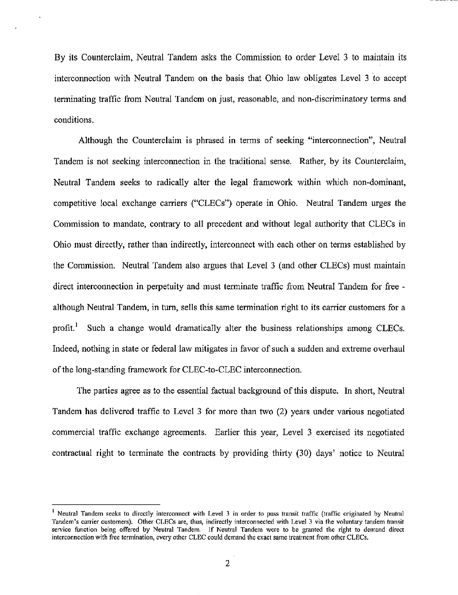By its Counterclaim, Neutral Tandem asks the Commission to order Level 3 to maintain its interconnection with Neutral Tandem on the basis that Ohio law obligates Level 3 to accept terminating traffic from Neutral Tandem on just, reasonable, and non-discriminatory terms and conditions.

Although the Counterclaim is phrased in terms of seeking "interconnection". Neutral Tandem is not seeking interconnection in the traditional sense. Rather, by its Counterclaim, Neutral Tandem seeks to radically alter the legal framework within which non-dominant, competitive local exchange carriers ("CLECs") operate in Ohio. Neutral Tandem urges the Commission to mandate, contrary to all precedent and without legal authority that CLECs in Ohio must directly, rather than indirectly, interconnect with each other on terms established by the Commission, Neutral Tandem also argues that Level 3 (and other CLECs) must maintain direct interconnection in perpetuity and must terminate traffic from Neutral Tandem for free although Neutral Tandem, in turn, sells this same termination right to its carrier customers for a profit.<sup>1</sup> Such a change would dramatically alter the business relationships among CLECs. Indeed, nothing in state or federal law mitigates in favor of such a sudden and extreme overhaul of the long-standing framework for CLEC-to-CLEC interconnection.

The parties agree as to the essential factual background of this dispute. In short. Neutral Tandem has delivered traffic to Level 3 for more than two (2) years under various negotiated commercial traffic exchange agreements. Earlier this year, Level 3 exercised its negotiated contractual right to terminate the contracts by providing thirty (30) days' notice to Neutral

<sup>&</sup>lt;sup>1</sup> Neutral Tandem seeks to directly interconnect with Level 3 in order to pass transit traffic (traffic originated by Neutral Tandem's carrier customers). Other CLECs are, thus, indirectly interconnected with Level 3 via the voluntary tandem transit service function being offered by Neutral Tandem. If Neutral Tandem were to be granted the right to demand direct interconnection with free termination, every other CLEG could demand the exact same treatment from other CLECs.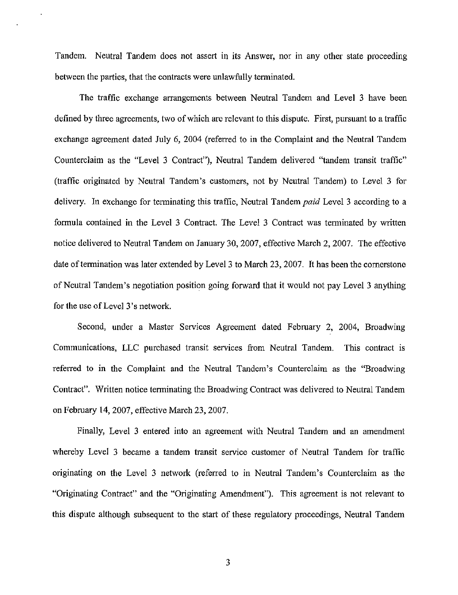Tandem. Neutral Tandem does not assert in its Answer, nor in any other state proceeding between the parties, that the contracts were unlawfully terminated.

The traffic exchange arrangements between Neutral Tandem and Level 3 have been defined by three agreements, two of which are relevant to this dispute. First, pursuant to a traffic exchange agreement dated July 6, 2004 (referred to in the Complaint and the Neutral Tandem Counterclaim as the "Level 3 Contract"), Neutral Tandem delivered "tandem transit traffic" (traffic originated by Neutral Tandem's customers, not by Neutral Tandem) to Level 3 for delivery. In exchange for terminating this traffic, Neutral Tandem paid Level 3 according to a formula contained in the Level 3 Contract. The Level 3 Contract was terminated by written notice delivered to Neutral Tandem on January 30, 2007, effective March 2, 2007. The effective date of termination was later extended by Level 3 to March 23, 2007. It has been the cornerstone of Neutral Tandem's negotiation position going forward that it would not pay Level 3 anything for the use of Level 3's network.

Second, under a Master Services Agreement dated February 2, 2004, Broadwing Communications, LLC purchased transit services from Neutral Tandem. This contract is referred to in the Complaint and the Neutral Tandem's Counterclaim as the "Broadwing Contract". Written notice terminating the Broadwing Contract was delivered to Neutral Tandem on February 14, 2007, effective March 23, 2007.

Finally, Level 3 entered into an agreement with Neutral Tandem and an amendment whereby Level 3 became a tandem transit service customer of Neutral Tandem for traffic originating on the Level 3 network (referred to in Neutral Tandem's Counterclaim as the "Originating Contract" and the "Originating Amendment"). This agreement is not relevant to this dispute although subsequent to the start of these regulatory proceedings, Neutral Tandem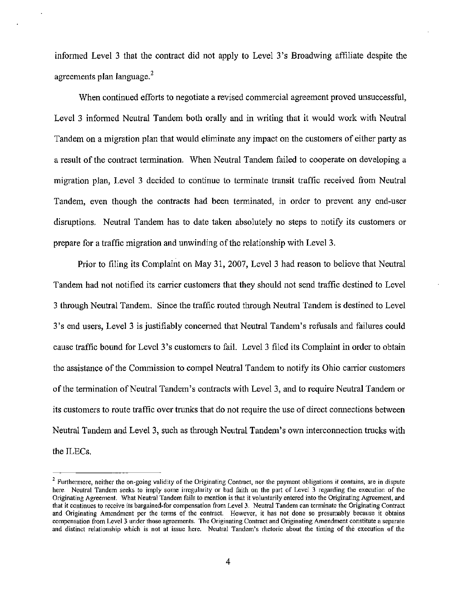informed Level 3 that the contract did not apply to Level 3's Broadwing affihate despite the agreements plan language.

When continued efforts to negotiate a revised commercial agreement proved unsuccessful. Level 3 informed Neutral Tandem both orally and in writing that it would work with Neutral Tandem on a migration plan that would eliminate any impact on the customers of either party as a result of the contract termination. When Neutral Tandem failed to cooperate on developing a migration plan, Level 3 decided to continue to terminate transit traffic received from Neutral Tandem, even though the contracts had been terminated, in order to prevent any end-user disruptions. Neutral Tandem has to date taken absolutely no steps to notify its customers or prepare for a traffic migration and unwinding ofthe relationship with Level 3.

Prior to filing its Complaint on May 31, 2007, Level 3 had reason to believe that Neutral Tandem had not notified its carrier customers that they should not send traffic destined to Level 3 through Neutral Tandem. Since the traffic routed through Neutral Tandem is destined to Level 3's end users, Level 3 is justifiably concerned that Neutral Tandem's refusals and failures could cause traffic bound for Level 3's customers to fail. Level 3 filed its Complaint in order to obtain the assistance of the Commission to compel Neutral Tandem to notify its Ohio carrier customers of the termination of Neutral Tandem's contracts with Level 3, and to require Neutral Tandem or its customers to route traffic over trunks that do not require the use of direct connections between Neutral Tandem and Level 3, such as through Neutral Tandem's own interconnection trucks with the ILECs.

 $2$  Furthermore, neither the on-going validity of the Originating Contract, nor the payment obligations it contains, are in dispute here. Neutral Tandem seeks to imply some irregularity or bad faith on the part of Level 3 regarding the execution of the Originating Agreement. What Neutral Tandem fails to mention is that it voluntarily entered into the Originating Agreement, and that it continues to receive its bargained-for compensation from Level 3. Neutral Tandem can terminate the Originating Contract and Originating Amendment per the terms of the contract. However, it has not done so presumably because it obtains compensation from Level 3 under those agreements. The Originating Contract and Originating Amendment constitute a separate and distinct relationship which is not at issue here. Neutral Tandem's rhetoric about the timing of the execution of the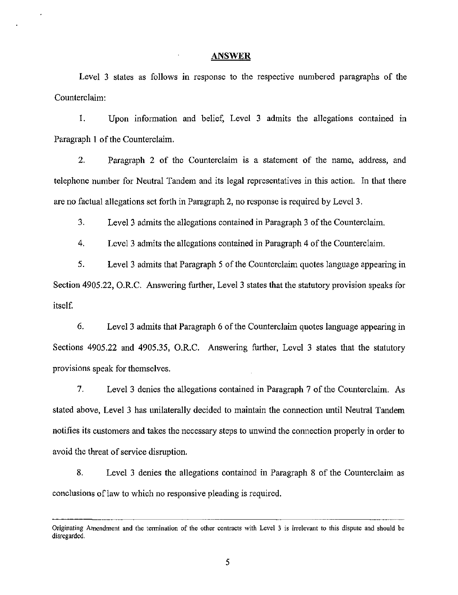#### ANSWER

Level 3 states as follows in response to the respective numbered paragraphs of the Counterclaim:

1. Upon information and belief, Level 3 admits the allegations contained in Paragraph 1 of the Counterclaim.

2. Paragraph 2 of the Counterclaim is a statement of the name, address, and telephone number for Neutral Tandem and its legal representatives in this action. In that there are no factual allegations set forth in Paragraph 2, no response is required by Level 3.

3. Level 3 admits the allegations contained in Paragraph 3 of the Counterclaim.

4. Level 3 admits the allegations contained in Paragraph 4 of the Counterclaim.

5. Level 3 admits that Paragraph 5 ofthe Counterclaim quotes language appearing in Section 4905.22, O.R.C. Answering further, Level 3 states that the statutory provision speaks for itself

6. Level 3 admits that Paragraph 6 of the Counterclaim quotes language appearing in Sections 4905.22 and 4905.35, O.R.C. Answering further. Level 3 states that the statutory provisions speak for themselves.

7. Level 3 denies the allegations contained in Paragraph 7 of the Counterclaim. As stated above. Level 3 has unilaterally decided to maintain the connection unfil Neutral Tandem notifies its customers and takes the necessary steps to unwind the connection properly in order to avoid the threat of service disruption.

8. Level 3 denies the allegations contained in Paragraph 8 of the Counterclaim as conclusions of law to which no responsive pleading is required.

Originating Amendment and the termination of the other contracts with Level 3 is irrelevant to this dispute and should be disregarded.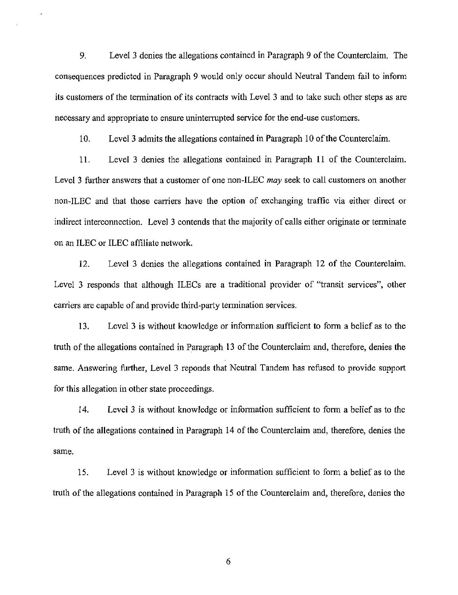9. Level 3 denies the allegations contained in Paragraph 9 of the Counterclaim. The consequences predicted in Paragraph 9 would only occur should Neutral Tandem fail to inform its customers of the termination of its contracts with Level 3 and to take such other steps as are necessary and appropriate to ensure uninterrupted service for the end-use customers.

10. Level 3 admits the allegations contained in Paragraph 10 ofthe Counterclaim.

11. Level 3 denies the allegafions contained in Paragraph 11 of the Counterclaim. Level 3 further answers that a customer of one non-ILEC may seek to call customers on another non-ILEC and that those carriers have the option of exchanging traffic via either direct or indirect interconnection. Level 3 contends that the majority of calls either originate or terminate on an ILEC or ILEC affiliate network.

12. Level 3 denies the allegations contained in Paragraph 12 of the Counterclaim. Level 3 responds that although ILECs are a traditional provider of "transit services", other carriers are capable of and provide third-party termination services.

13. Level 3 is without knowledge or information sufficient to form a belief as to the truth of the allegations contained in Paragraph 13 of the Counterclaim and, therefore, denies the same. Answering further, Level 3 reponds that Neutral Tandem has refused to provide support for this allegation in other state proceedings.

14. Level 3 is without knowledge or information sufficient to form a belief as to the truth of the allegations contained in Paragraph 14 of the Counterclaim and, therefore, denies the same.

15. Level 3 is without knowledge or information sufficient to form a belief as to the truth of the allegations contained in Paragraph 15 of the Counterclaim and, therefore, denies the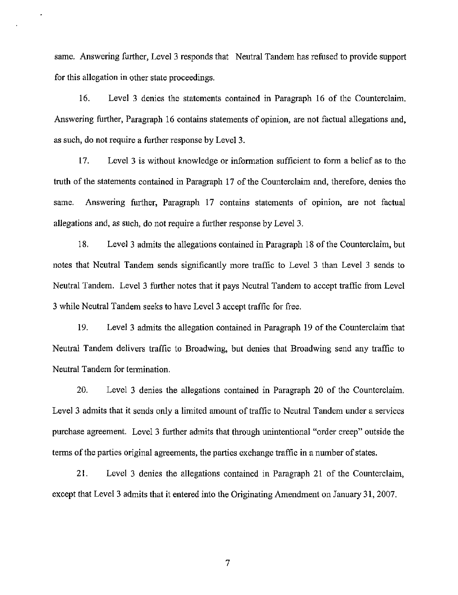same. Answering further, Level 3 responds that Neutral Tandem has refused to provide support for this allegation in other state proceedings.

16. Level 3 denies the statements contained in Paragraph 16 of the Counterclaim. Answering further, Paragraph 16 contains statements of opinion, are not factual allegations and, as such, do not require a further response by Level 3.

17. Level 3 is without knowledge or information sufficient to form a belief as to the truth of the statements contained in Paragraph 17 of the Counterclaim and, therefore, denies the same. Answering further, Paragraph 17 contains statements of opinion, are not factual allegations and, as such, do not require a further response by Level 3.

18. Level 3 admits the allegations contained in Paragraph 18 of the Counterclaim, but notes that Neutral Tandem sends significantly more traffic to Level 3 than Level 3 sends to Neutral Tandem. Level 3 further notes that it pays Neutral Tandem to accept traffic from Level 3 while Neutral Tandem seeks to have Level 3 accept traffic for free.

19. Level 3 admits the allegation contained in Paragraph 19 ofthe Counterclaim that Neutral Tandem delivers traffic to Broadwing, but denies that Broadwing send any traffic to Neutral Tandem for termination.

20. Level 3 denies the allegations contained in Paragraph 20 of the Counterclaim. Level 3 admits that it sends only a limited amount of traffic to Neutral Tandem under a services purchase agreement. Level 3 further admits that through unintentional "order creep" outside the terms of the parties original agreements, the parties exchange traffic in a number of states.

21. Level 3 denies the allegations contained in Paragraph 21 of the Counterclaim, except that Level 3 admits that it entered into the Originating Amendment on January 31, 2007.

 $\overline{7}$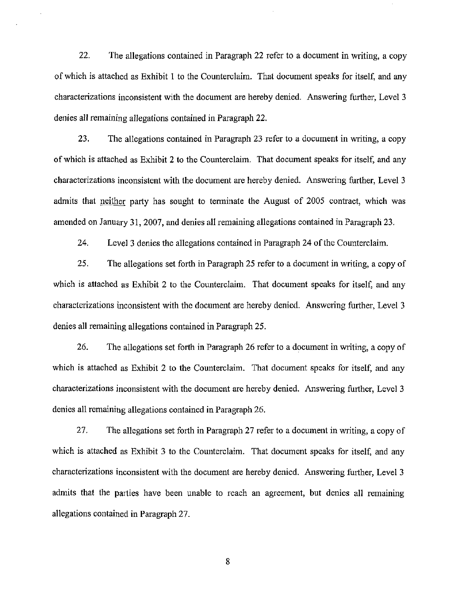22. The allegations contained in Paragraph 22 refer to a document in writing, a copy of which is attached as Exhibit 1 to the Counterclaim. That document speaks for itself, and any characterizations inconsistent with the document are hereby denied. Answering further, Level 3 denies all remaining allegations contained in Paragraph 22.

23. The allegations contained in Paragraph 23 refer to a document in writing, a copy of which is attached as Exhibit 2 to the Counterclaim. That document speaks for itself, and any characterizations inconsistent with the document are hereby denied. Answering further. Level 3 admits that neither party has sought to terminate the August of 2005 contract, which was amended on January 31, 2007, and denies all remaining allegations contained in Paragraph 23.

24. Level 3 denies the allegations contained in Paragraph 24 of the Counterclaim.

25. The allegations set forth in Paragraph 25 refer to a document in writing, a copy of which is attached as Exhibit 2 to the Counterclaim. That document speaks for itself, and any characterizations inconsistent with the document are hereby denied. Answering further. Level 3 denies all remaining allegations contained in Paragraph 25.

26. The allegations set forth in Paragraph 26 refer to a document in writing, a copy of which is attached as Exhibit 2 to the Counterclaim. That document speaks for itself, and any characterizations inconsistent with the document are hereby denied. Answering further, Level 3 denies all remaining allegations contained in Paragraph 26.

27. The allegations set forth in Paragraph 27 refer to a document in writing, a copy of which is attached as Exhibit 3 to the Counterclaim. That document speaks for itself, and any characterizations inconsistent with the document are hereby denied. Answering further, Level 3 admits that the parties have been unable to reach an agreement, but denies all remaining allegations contained in Paragraph 27.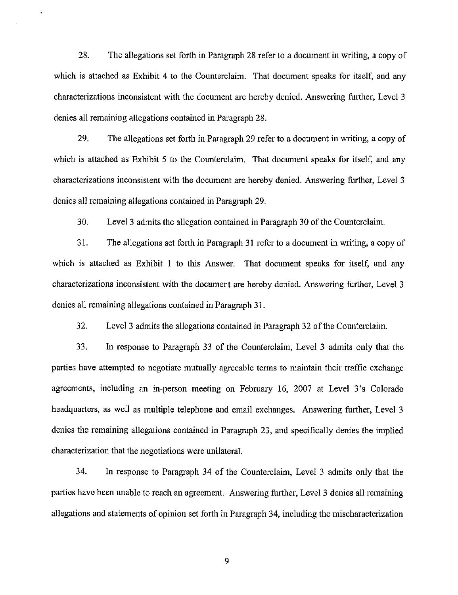28. The allegations set forth in Paragraph 28 refer to a document in writing, a copy of which is attached as Exhibit 4 to the Counterclaim. That document speaks for itself, and any characterizations inconsistent with the document are hereby denied. Answering further, Level 3 denies all remaining allegations contained in Paragraph 28.

29. The allegations set forth in Paragraph 29 refer to a document in writing, a copy of which is attached as Exhibit 5 to the Counterclaim. That document speaks for itself, and any characterizations inconsistent with the document are hereby denied. Answering further. Level 3 denies all remaining allegations contained in Paragraph 29.

30. Level 3 admits the allegation contained in Paragraph 30 of the Counterclaim.

31. The allegations set forth in Paragraph 31 refer to a document in writing, a copy of which is attached as Exhibit 1 to this Answer. That document speaks for itself, and any characterizations inconsistent with the document are hereby denied. Answering further, Level 3 denies all remaining allegations contained in Paragraph 31.

32. Level 3 admits the allegations contained in Paragraph 32 of the Counterclaim.

33. In response to Paragraph 33 of the Counterclaim, Level 3 admits only that the parties have attempted to negotiate mutually agreeable terms to maintain their traffic exchange agreements, including an in-person meefing on February 16, 2007 at Level 3's Colorado headquarters, as well as multiple telephone and email exchanges. Answering further. Level 3 denies the remaining allegations contained in Paragraph 23, and specifically denies the implied characterization that the negotiations were unilateral.

34. In response to Paragraph 34 of the Counterclaim, Level 3 admits only that the parties have been unable to reach an agreement. Answering further, Level 3 denies all remaining allegafions and statements of opinion set forth in Paragraph 34, including the mischaracterizafion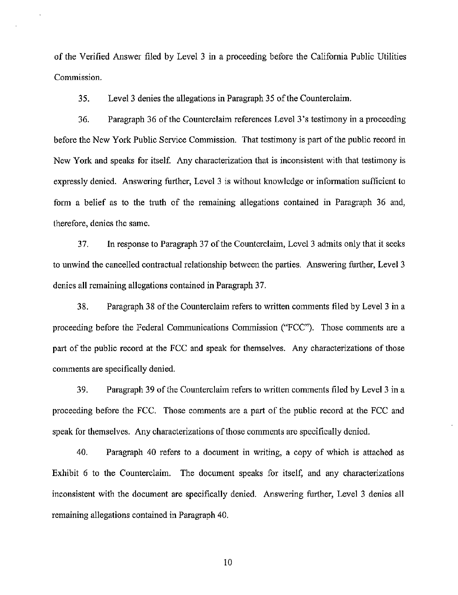of the Verified Answer filed by Level 3 in a proceeding before the California Public Utilities Commission.

35. Level 3 denies the allegations in Paragraph 35 of the Counterclaim.

36. Paragraph 36 ofthe Counterclaim references Level 3's testimony in a proceeding before the New York Public Service Commission. That testimony is part of the public record in New York and speaks for itself. Any characterization that is inconsistent with that testimony is expressly denied. Answering further, Level 3 is without knowledge or information sufficient to form a belief as to the truth of the remaining allegations contained in Paragraph 36 and, therefore, denies the same.

37. In response to Paragraph 37 of the Counterclaim, Level 3 admits only that it seeks to unwind the cancelled contractual relationship between the parties. Answering further. Level 3 denies all remaining allegations contained in Paragraph 37.

38. Paragraph 38 ofthe Counterclaim refers to written comments filed by Level 3 in a proceeding before the Federal Communications Commission ("FCC"). Those comments are a part of the public record at the FCC and speak for themselves. Any characterizations of those comments are specifically denied.

39. Paragraph 39 ofthe Counterclaim refers to written comments filed by Level 3 in a proceeding before the FCC. Those comments are a part of the public record at the FCC and speak for themselves. Any characterizations of those comments are specifically denied.

40. Paragraph 40 refers to a document in writing, a copy of which is attached as Exhibit 6 to the Counterclaim. The document speaks for itself, and any characterizations inconsistent with the document are specifically denied. Answering further. Level 3 denies all remaining allegations contained in Paragraph 40.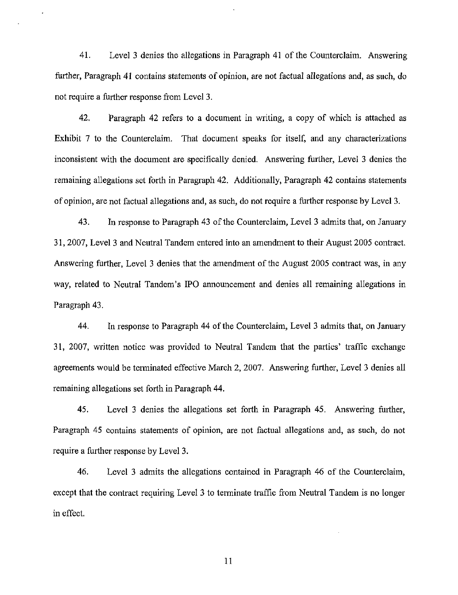41. Level 3 denies the allegations in Paragraph 41 ofthe Counterclaim. Answering further, Paragraph 41 contains statements of opinion, are not factual allegations and, as such, do not require a further response from Level 3.

42. Paragraph 42 refers to a document in writing, a copy of which is attached as Exhibit 7 to the Counterclaim. That document speaks for itself, and any characterizations inconsistent with the document are specifically denied. Answering further, Level 3 denies the remaining allegations set forth in Paragraph 42. Additionally, Paragraph 42 contains statements of opinion, are not factual allegations and, as such, do not require a further response by Level 3,

43. In response to Paragraph 43 of the Counterclaim, Level 3 admits that, on January 31, 2007, Level 3 and Neutral Tandem entered into an amendment to their August 2005 contract. Answering further. Level 3 denies that the amendment of the August 2005 contract was, in any way, related to Neutral Tandem's IPO announcement and denies all remaining allegations in Paragraph 43.

44. In response to Paragraph 44 of the Counterclaim, Level 3 admits that, on January 31, 2007, written notice was provided to Neutral Tandem that the parties' traffic exchange agreements would be terminated effective March 2, 2007. Answering further. Level 3 denies all remaining allegations set forth in Paragraph 44.

45. Level 3 denies the allegations set forth in Paragraph 45. Answering further, Paragraph 45 contains statements of opinion, are not factual allegations and, as such, do not require a further response by Level 3.

46. Level 3 admits the allegations contained in Paragraph 46 of the Counterclaim, except that the contract requiring Level 3 to terminate traffic from Neutral Tandem is no longer in effect.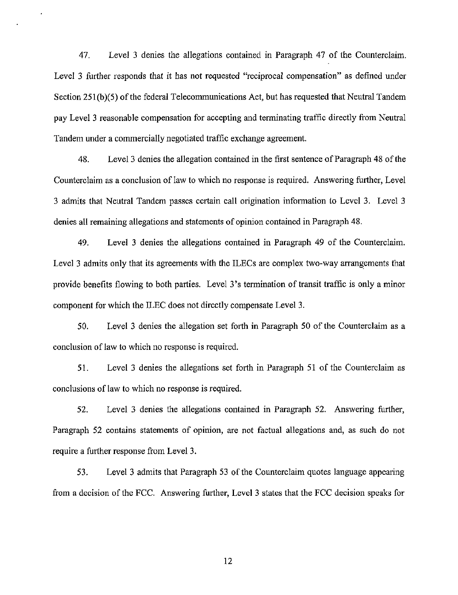47. Level 3 denies the allegations contained in Paragraph 47 of the Counterclaim. Level 3 further responds that it has not requested "reciprocal compensation" as defined under Section 251(b)(5) of the federal Telecommunications Act, but has requested that Neutral Tandem pay Level 3 reasonable compensation for accepting and terminating traffic directly from Neutral Tandem under a commercially negotiated traffic exchange agreement.

48. Level 3 denies the allegation contained in the first sentence of Paragraph 48 ofthe Counterclaim as a conclusion of law to which no response is required. Answering further, Level 3 admits that Neutral Tandem passes certain call origination information to Level 3. Level 3 denies all remaining allegations and statements of opinion contained in Paragraph 48.

49. Level 3 denies the allegations contained in Paragraph 49 of the Counterclaim. Level 3 admits only that its agreements with the ILECs are complex two-way arrangements that provide benefits flowing to both parties. Level 3's termination of transit traffic is only a minor component for which the ILEC does not directly compensate Level 3.

50. Level 3 denies the allegation set forth in Paragraph 50 of the Counterclaim as a conclusion of law to which no response is required.

51. Level 3 denies the allegations set forth in Paragraph 51 of the Counterclaim as conclusions of law to which no response is required.

52. Level 3 denies the allegations contained in Paragraph 52. Answering further, Paragraph 52 contains statements of opinion, are not factual allegations and, as such do not require a further response from Level 3.

53. Level 3 admits that Paragraph 53 of the Counterclaim quotes language appearing from a decision of the FCC. Answering further, Level 3 states that the FCC decision speaks for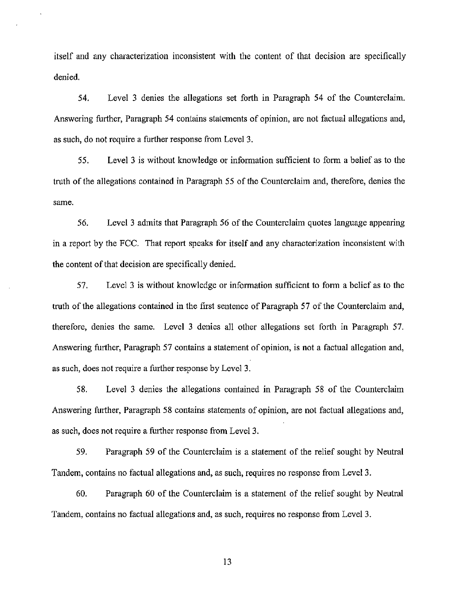itself and any characterization inconsistent with the content of that decision are specifically denied.

54. Level 3 denies the allegations set forth in Paragraph 54 of the Counterclaim. Answering further. Paragraph 54 contains statements of opinion, are not factual allegations and, as such, do not require a further response from Level 3,

55. Level 3 is without knowledge or information sufficient to form a belief as to the truth of the allegations contained in Paragraph 55 of the Counterclaim and, therefore, denies the same.

56. Level 3 admits that Paragraph 56 ofthe Counterclaim quotes language appearing in a report by the FCC. That report speaks for itself and any characterization inconsistent with the content of that decision are specifically denied.

57. Level 3 is without knowledge or information sufficient to form a belief as to the truth of the allegations contained in the first sentence of Paragraph 57 of the Counterclaim and, therefore, denies the same. Level 3 denies all other allegations set forth in Paragraph 57. Answering further, Paragraph 57 contains a statement of opinion, is not a factual allegation and, as such, does not require a further response by Level 3.

58. Level 3 denies the allegations contained in Paragraph 58 of the Counterclaim Answering further. Paragraph 58 contains statements of opinion, are not factual allegations and, as such, does not require a further response from Level 3.

59. Paragraph 59 of the Counterclaim is a statement of the relief sought by Neutral Tandem, contains no factual allegations and, as such, requires no response from Level 3.

60. Paragraph 60 of the Counterclaim is a statement of the relief sought by Neutral Tandem, contains no factual allegations and, as such, requires no response from Level 3.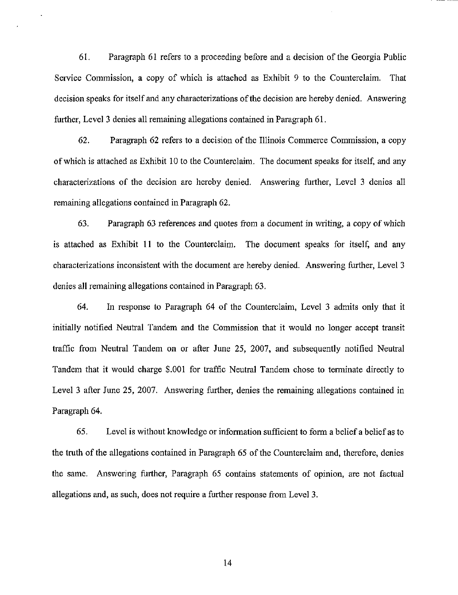61. Paragraph 61 refers to a proceeding before and a decision of the Georgia Public Service Commission, a copy of which is attached as Exhibit 9 to the Counterclaim. That decision speaks for itself and any characterizations of the decision are hereby denied. Answering further, Level 3 denies all remaining allegations contained in Paragraph 61.

62. Paragraph 62 refers to a decision ofthe Illinois Commerce Commission, a copy of which is attached as Exhibit 10 to the Counterclaim. The document speaks for itself, and any characterizations of the decision are hereby denied. Answering further. Level 3 denies all remaining allegations contained in Paragraph 62.

63. Paragraph 63 references and quotes from a document in writing, a copy of which is attached as Exhibit 11 to the Counterclaim. The document speaks for itself, and any characterizations inconsistent with the document are hereby denied. Answering further, Level 3 denies all remaining allegations contained in Paragraph 63.

64. In response to Paragraph 64 of the Counterclaim, Level 3 admits only that it initially notified Neutral Tandem and the Commission that it would no longer accept transit traffic from Neutral Tandem on or after June 25, 2007, and subsequently notified Neutral Tandem that it would charge \$.001 for traffic Neutral Tandem chose to terminate directly to Level 3 after June 25, 2007. Answering further, denies the remaining allegations contained in Paragraph 64.

65. Level is without knowledge or information sufficient to form a belief a belief as to the truth of the allegations contained in Paragraph 65 of the Counterclaim and, therefore, denies the same. Answering further, Paragraph 65 contains statements of opinion, are not factual allegations and, as such, does not require a further response from Level 3.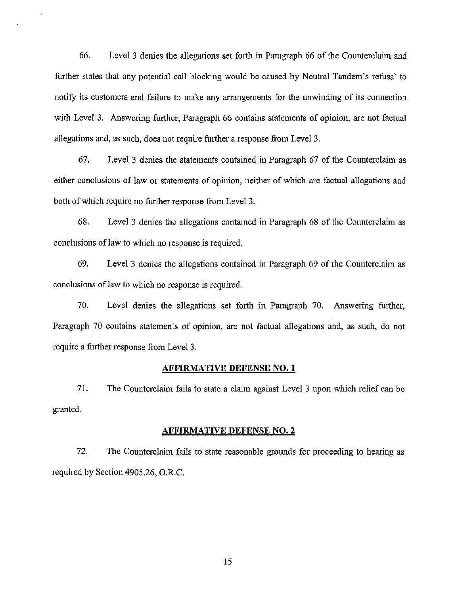66. Level 3 denies the allegations set forth in Paragraph 66 of the Counterclaim and further states that any potential call blocking would be caused by Neutral Tandem's refusal to notify its customers and failure to make any arrangements for the unwinding of its connection with Level 3. Answering further. Paragraph 66 contains statements of opinion, are not factual allegations and, as such, does not require further a response from Level 3.

67. Level 3 denies the statements contained in Paragraph 67 of the Counterclaim as either conclusions of law or statements of opinion, neither of which are factual allegations and both of which require no further response from Level 3.

68. Level 3 denies the allegations contained in Paragraph 68 of the Counterclaim as conclusions of law to which no response is required.

69. Level 3 denies the allegations contained in Paragraph 69 of the Counterclaim as conclusions of law to which no response is required.

70. Level denies the allegations set forth in Paragraph 70. Answering further. Paragraph 70 contains statements of opinion, are not factual allegations and, as such, do not require a further response from Level 3.

#### AFFIRMATIVE DEFENSE NO. 1

71. The Counterclaim fails to state a claim against Level 3 upon which relief can be granted.

#### AFFIRMATIVE DEFENSE NO. 2

72. The Counterclaim fails to state reasonable grounds for proceeding to hearing as required by Section 4905.26, O.R.C.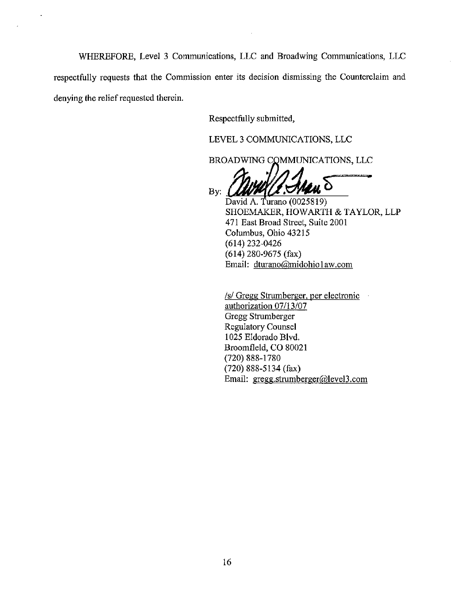WHEREFORE, Level 3 Communications, LLC and Broadwing Communications, LLC respectfully requests that the Commission enter its decision dismissing the Counterclaim and denying the relief requested therein.

Respectfully submitted,

LEVEL 3 COMMUNICATIONS, LLC

BROADWING COMMUNICATIONS, LLC

By:  $\blacksquare$ 

David A. Turano (0025819) SHOEMAKER, HOWARTH & TAYLOR, LLP 471 East Broad Street, Suite 2001 Columbus, Ohio 43215 (614)232-0426 (614) 280-9675 (fax) Email: dturano@midohio 1 [aw.com](http://aw.com)

/s/ Gregg Strumberger, per electronic authorization 07/13/07 Gregg Strumberger Regulatory Counsel 1025 Eldorado Blvd. Broomfleld, CO 80021 (720)888-1780 (720) 888-5134 (fax) Email: [gregg.strumberger@level3.com](mailto:gregg.strumberger@level3.com)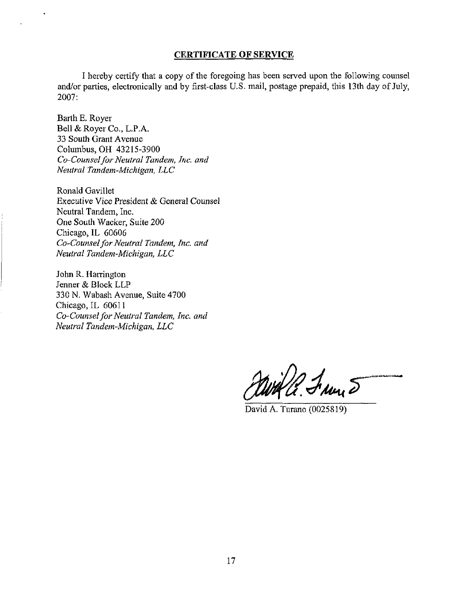#### CERTIFICATE OF SERVICE

I hereby certify that a copy of the foregoing has been served upon the following counsel and/or parties, electronically and by first-class U.S. mail, postage prepaid, this 13th day of July, 2007:

Barth E, Royer Bell & Royer Co., L.P.A. 33 South Grant Avenue Columbus, OH 43215-3900 Co-Counsel for Neutral Tandem, Inc. and Neutral Tandem-Michigan, LLC

Ronald Gavillet Executive Vice President & General Counsel Neutral Tandem, Inc. One South Wacker, Suite 200 Chicago, IL 60606 Co-Counsel for Neutral Tandem, Inc. and Neutral Tandem-Michigan, LLC

John R. Harrington Jenner & Block LLP 330 N. Wabash Avenue, Suite 4700 Chicago, IL 60611 Co-Counsel for Neutral Tandem, Inc. and Neutral Tandem-Michigan, LLC

With C. Fran 5

David A. Turano (0025819)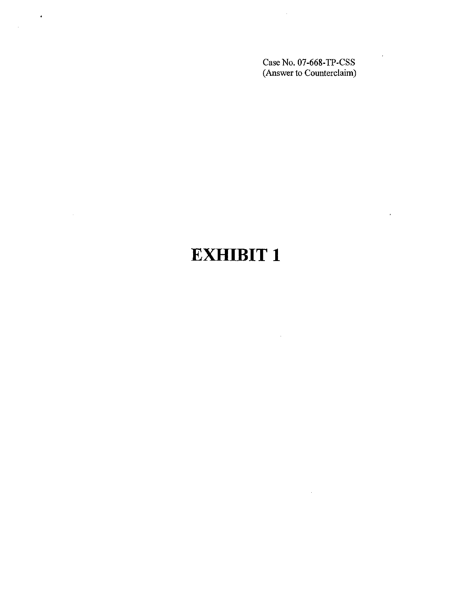Case No, 07-668-TP-CSS (Answer to Counterclaim)

 $\bar{\mathbf{r}}$ 

 $\bar{z}$ 

# EXHIBIT 1

 $\bar{z}$ 

 $\mathcal{L}^{\mathcal{L}}$ 

 $\bullet$ 

 $\mathcal{L}^{\text{max}}_{\text{max}}$  and  $\mathcal{L}^{\text{max}}_{\text{max}}$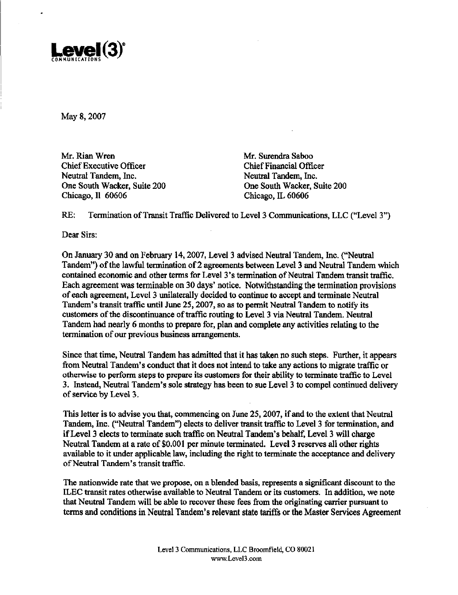

May 8, 2007

Mr. Rian Wren Mr. Surendra Saboo Chief Executive Officer Chief Financial Officer Neutral Tandem, Inc. Neutral Tandem, Inc. One South Wacker, Suite 200 One South Wacker, Suite 200 Chicago, II 60606 Chicago. IL 60606

RE: Termination of Transit Traffic Delivered to Level 3 Communications, LLC ("Level 3")

Dear Sirs:

On January 30 and on February 14,2007, Level 3 advised Neutral Tandem, Inc. ("Neutral Tandem") of the lawful termination of 2 agreements between Level 3 and Neutral Tandem which contained economic and other terms for Level 3's termination of Neutral Tandem transit traffic. Each agreement was terminable on 30 days' notice. Notwithstanding the termination provisions of each agreement, Level 3 unilaterally decided to continue to accept and terminate Neutral Tandem's transit traffic until June 25,2007, so as to permit Neutral Tandem to notify its customers ofthe discontinuance of traffic routing to Level 3 via Neutral Tandem. Neutral Tandem had nearly 6 months to prepare for, plan and complete any activities relating to the termination of our previous business arrangements.

Since that time. Neutral Tandem has admitted that it has taken no such steps. Further, it appears from Neutral Tandem's conduct that it does not intend to take any actions to migrate traffic or otherwise to perform steps to prepare its customers for their ability to terminate traffic to Level 3. Instead, Neutral Tandem's sole strategy has been to sue Level 3 to compel continued delivery of service by Level 3.

This letter is to advise you that, commencing on June 25,2007, if and to the extent that Neutral Tandem, Inc. ("Neutral Tandem") elects to deliver transit traffic to Level 3 for termination, and if Level 3 elects to terminate such traffic on Neutral Tandem's behalf. Level 3 will charge Neutral Tandem at a rate of \$0,001 per minute terminated. Level 3 reserves all other rights available to it under applicable law, including the right to terminate the acceptance and delivery of Neutral Tandem's transit traffic.

The nationwide rate that we propose, on a blended basis, represents a significant discount to the ILEC transit rates otherwise available to Neutral Tandem or its customers. In addition, we note that Neutral Tandem will be able to recover these fees from the originating carrier pursuant to terms and conditions in Neutral Tandem's relevant state tariffs or the Master Services Agreement